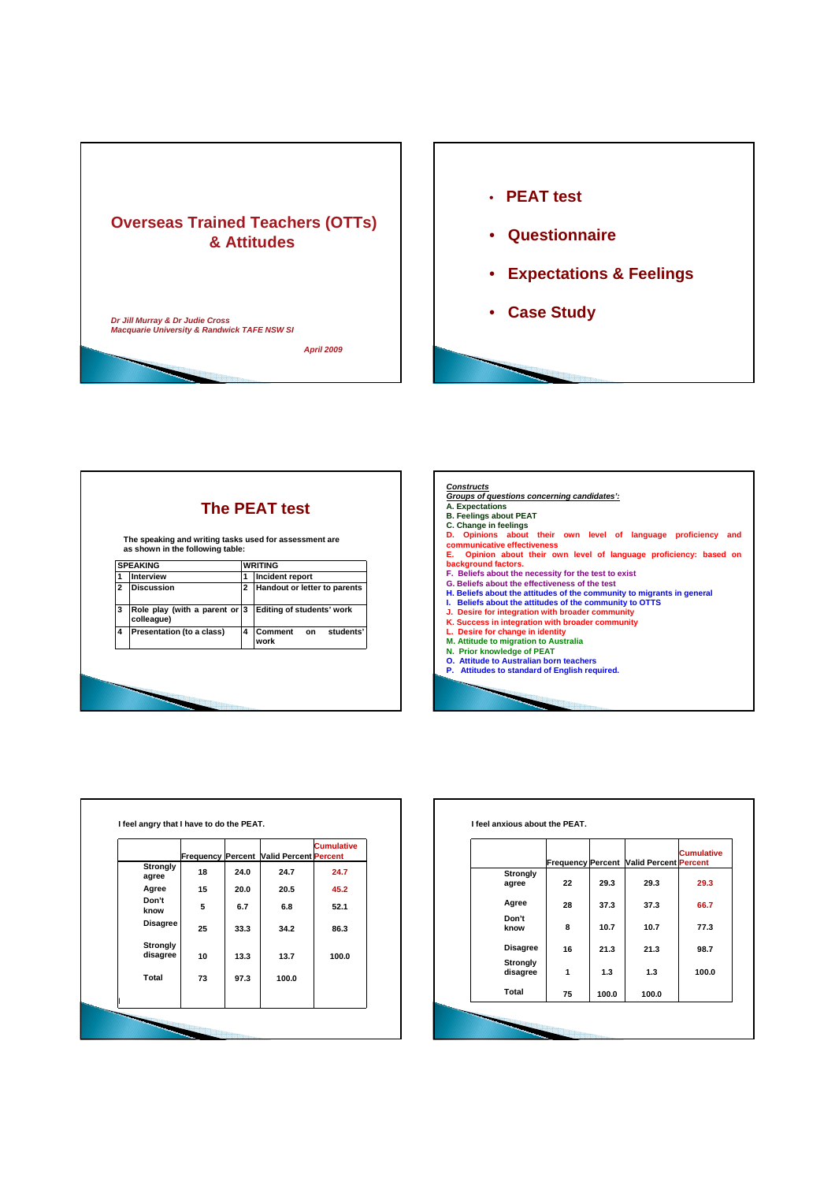



|   | The speaking and writing tasks used for assessment are<br>as shown in the following table: |              |                                    |
|---|--------------------------------------------------------------------------------------------|--------------|------------------------------------|
|   | <b>SPEAKING</b>                                                                            |              | <b>WRITING</b>                     |
| 1 | Interview                                                                                  | 1            | Incident report                    |
| 2 | <b>Discussion</b>                                                                          | $\mathbf{2}$ | Handout or letter to parents       |
| 3 | Role play (with a parent or $ 3 $<br>colleague)                                            |              | Editing of students' work          |
| 4 | Presentation (to a class)                                                                  | 4            | Comment<br>students'<br>on<br>work |



|                      | <b>Frequency Percent</b> |      | <b>Valid Percent Percent</b> | <b>Cumulative</b> |
|----------------------|--------------------------|------|------------------------------|-------------------|
| Strongly<br>agree    | 18                       | 24.0 | 24.7                         | 24.7              |
| Agree                | 15                       | 20.0 | 20.5                         | 45.2              |
| Don't<br>know        | 5                        | 6.7  | 6.8                          | 52.1              |
| <b>Disagree</b>      | 25                       | 33.3 | 34.2                         | 86.3              |
| Strongly<br>disagree | 10                       | 13.3 | 13.7                         | 100.0             |
| Total                | 73                       | 97.3 | 100.0                        |                   |
|                      |                          |      |                              |                   |

|                 |    |       |                                                | <b>Cumulative</b> |
|-----------------|----|-------|------------------------------------------------|-------------------|
| Strongly        |    |       | <b>Frequency Percent Valid Percent Percent</b> |                   |
| agree           | 22 | 29.3  | 29.3                                           | 29.3              |
| Agree           | 28 | 37.3  | 37.3                                           | 66.7              |
| Don't           |    |       |                                                |                   |
| know            | 8  | 10.7  | 10.7                                           | 77.3              |
| <b>Disagree</b> | 16 | 21.3  | 21.3                                           | 98.7              |
| <b>Strongly</b> |    |       |                                                |                   |
| disagree        | 1  | 1.3   | 1.3                                            | 100.0             |
| Total           | 75 | 100.0 | 100.0                                          |                   |